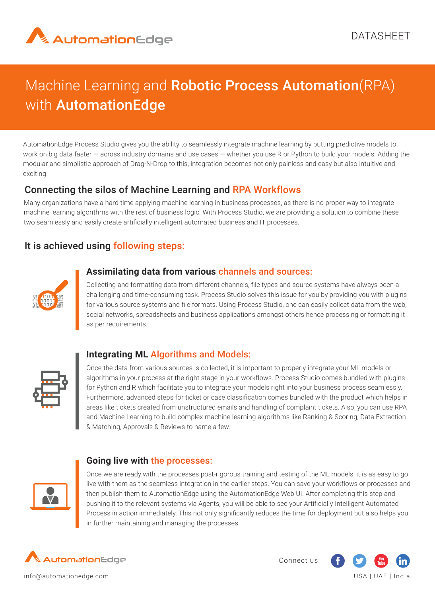

# Machine Learning and Robotic Process Automation(RPA) with **AutomationEdge**

AutomationEdge Process Studio gives you the ability to seamlessly integrate machine learning by putting predictive models to work on big data faster – across industry domains and use cases – whether you use R or Python to build your models. Adding the modular and simplistic approach of Drag-N-Drop to this, integration becomes not only painless and easy but also intuitive and exciting.

### Connecting the silos of Machine Learning and RPA Workflows

Many organizations have a hard time applying machine learning in business processes, as there is no proper way to integrate machine learning algorithms with the rest of business logic. With Process Studio, we are providing a solution to combine these two seamlessly and easily create artificially intelligent automated business and IT processes.

## It is achieved using following steps:



#### **Assimilating data from various** channels and sources:

- for various source systems and file formats. Using Process Studio, one can easily collect data from the web, Collecting and formatting data from different channels, file types and source systems have always been a challenging and time-consuming task. Process Studio solves this issue for you by providing you with plugins social networks, spreadsheets and business applications amongst others hence processing or formatting it as per requirements.



#### **Integrating ML** Algorithms and Models:

Once the data from various sources is collected, it is important to properly integrate your ML models or algorithms in your process at the right stage in your workflows. Process Studio comes bundled with plugins for Python and R which facilitate you to integrate your models right into your business process seamlessly. Furthermore, advanced steps for ticket or case classification comes bundled with the product which helps in areas like tickets created from unstructured emails and handling of complaint tickets. Also, you can use RPA and Machine Learning to build complex machine learning algorithms like Ranking & Scoring, Data Extraction & Matching, Approvals & Reviews to name a few.



#### **Going live with** the processes:

Once we are ready with the processes post-rigorous training and testing of the ML models, it is as easy to go live with them as the seamless integration in the earlier steps. You can save your workflows or processes and then publish them to AutomationEdge using the AutomationEdge Web UI. After completing this step and pushing it to the relevant systems via Agents, you will be able to see your Artificially Intelligent Automated Process in action immediately. This not only significantly reduces the time for deployment but also helps you in further maintaining and managing the processes.



Connect us: